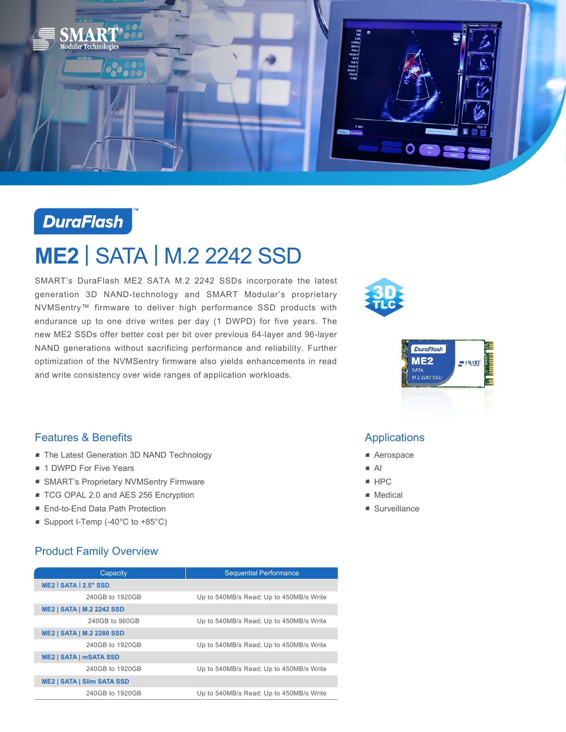

# **DuraFlash**

# **ME2** | SATA | M.2 2242 SSD

SMART's DuraFlash ME2 SATA M.2 2242 SSDs incorporate the latest generation 3D NAND-technology and SMART Modular's proprietary NVMSentry™ firmware to deliver high performance SSD products with endurance up to one drive writes per day (1 DWPD) for five years. The new ME2 SSDs offer better cost per bit over previous 64-layer and 96-layer NAND generations without sacrificing performance and reliability. Further optimization of the NVMSentry firmware also yields enhancements in read and write consistency over wide ranges of application workloads.





## Features & Benefits

- **The Latest Generation 3D NAND Technology**
- 1 DWPD For Five Years
- SMART's Proprietary NVMSentry Firmware
- TCG OPAL 2.0 and AES 256 Encryption
- End-to-End Data Path Protection
- Support I-Temp (-40°C to +85°C)

## Product Family Overview

| Capacity                          | <b>Sequential Performance</b>           |
|-----------------------------------|-----------------------------------------|
| <b>ME2   SATA   2.5" SSD</b>      |                                         |
| 240GB to 1920GB                   | Up to 540MB/s Read; Up to 450MB/s Write |
| <b>ME2   SATA   M.2 2242 SSD</b>  |                                         |
| 240GB to 960GB                    | Up to 540MB/s Read; Up to 450MB/s Write |
| <b>ME2   SATA   M.2 2280 SSD</b>  |                                         |
| 240GB to 1920GB                   | Up to 540MB/s Read; Up to 450MB/s Write |
| <b>ME2   SATA   mSATA SSD</b>     |                                         |
| 240GB to 1920GB                   | Up to 540MB/s Read; Up to 450MB/s Write |
| <b>ME2   SATA   SIIm SATA SSD</b> |                                         |
| 240GB to 1920GB                   | Up to 540MB/s Read; Up to 450MB/s Write |

### Applications

- Aerospace
- $\blacksquare$  AI
- $e$  HPC
- Medical
- Surveillance